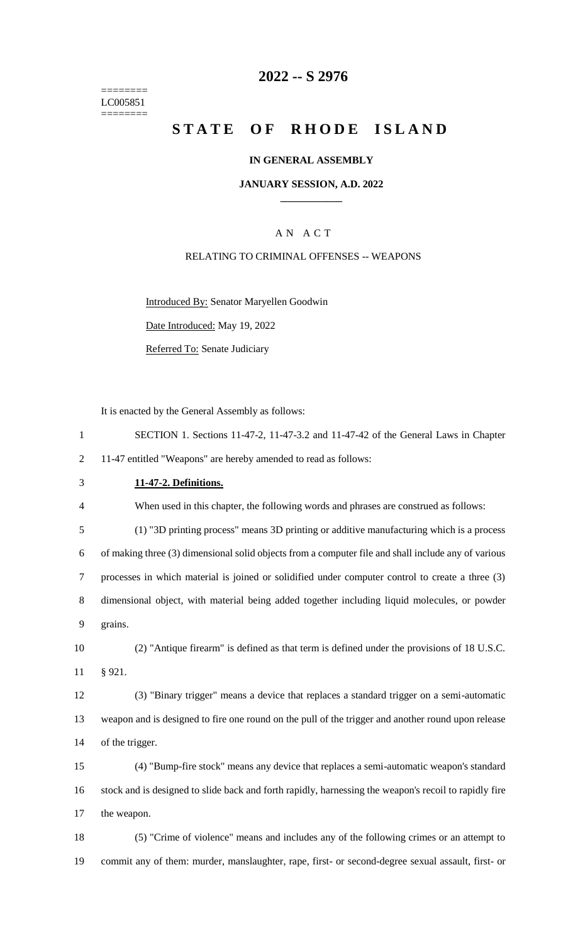======== LC005851 ========

## **2022 -- S 2976**

# **STATE OF RHODE ISLAND**

#### **IN GENERAL ASSEMBLY**

#### **JANUARY SESSION, A.D. 2022 \_\_\_\_\_\_\_\_\_\_\_\_**

## A N A C T

#### RELATING TO CRIMINAL OFFENSES -- WEAPONS

Introduced By: Senator Maryellen Goodwin

Date Introduced: May 19, 2022

Referred To: Senate Judiciary

It is enacted by the General Assembly as follows:

 SECTION 1. Sections 11-47-2, 11-47-3.2 and 11-47-42 of the General Laws in Chapter 11-47 entitled "Weapons" are hereby amended to read as follows: **11-47-2. Definitions.** When used in this chapter, the following words and phrases are construed as follows: (1) "3D printing process" means 3D printing or additive manufacturing which is a process of making three (3) dimensional solid objects from a computer file and shall include any of various processes in which material is joined or solidified under computer control to create a three (3) dimensional object, with material being added together including liquid molecules, or powder 9 grains. (2) "Antique firearm" is defined as that term is defined under the provisions of 18 U.S.C. 11 § 921. (3) "Binary trigger" means a device that replaces a standard trigger on a semi-automatic weapon and is designed to fire one round on the pull of the trigger and another round upon release 14 of the trigger. (4) "Bump-fire stock" means any device that replaces a semi-automatic weapon's standard stock and is designed to slide back and forth rapidly, harnessing the weapon's recoil to rapidly fire the weapon. (5) "Crime of violence" means and includes any of the following crimes or an attempt to commit any of them: murder, manslaughter, rape, first- or second-degree sexual assault, first- or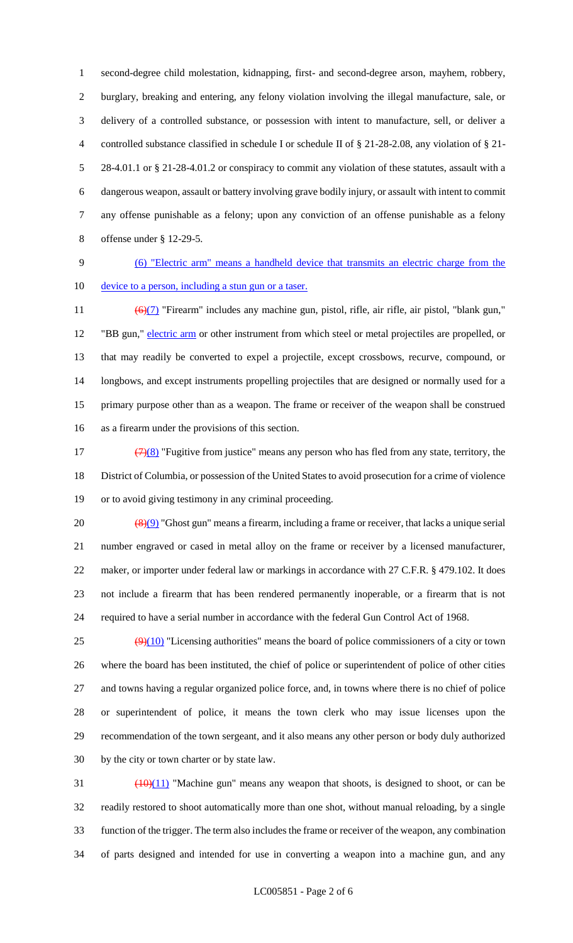second-degree child molestation, kidnapping, first- and second-degree arson, mayhem, robbery, burglary, breaking and entering, any felony violation involving the illegal manufacture, sale, or delivery of a controlled substance, or possession with intent to manufacture, sell, or deliver a controlled substance classified in schedule I or schedule II of § 21-28-2.08, any violation of § 21- 28-4.01.1 or § 21-28-4.01.2 or conspiracy to commit any violation of these statutes, assault with a dangerous weapon, assault or battery involving grave bodily injury, or assault with intent to commit any offense punishable as a felony; upon any conviction of an offense punishable as a felony offense under § 12-29-5.

# (6) "Electric arm" means a handheld device that transmits an electric charge from the

10 device to a person, including a stun gun or a taser.

11 (6)(7) "Firearm" includes any machine gun, pistol, rifle, air rifle, air pistol, "blank gun," 12 "BB gun," electric arm or other instrument from which steel or metal projectiles are propelled, or that may readily be converted to expel a projectile, except crossbows, recurve, compound, or longbows, and except instruments propelling projectiles that are designed or normally used for a primary purpose other than as a weapon. The frame or receiver of the weapon shall be construed as a firearm under the provisions of this section.

17  $\left(\frac{7}{8}\right)$  "Fugitive from justice" means any person who has fled from any state, territory, the District of Columbia, or possession of the United States to avoid prosecution for a crime of violence or to avoid giving testimony in any criminal proceeding.

 $\left(\frac{(8)(9)}{8} \right)$  "Ghost gun" means a firearm, including a frame or receiver, that lacks a unique serial number engraved or cased in metal alloy on the frame or receiver by a licensed manufacturer, 22 maker, or importer under federal law or markings in accordance with 27 C.F.R. § 479.102. It does not include a firearm that has been rendered permanently inoperable, or a firearm that is not required to have a serial number in accordance with the federal Gun Control Act of 1968.

 $(9)(10)$  "Licensing authorities" means the board of police commissioners of a city or town where the board has been instituted, the chief of police or superintendent of police of other cities and towns having a regular organized police force, and, in towns where there is no chief of police or superintendent of police, it means the town clerk who may issue licenses upon the recommendation of the town sergeant, and it also means any other person or body duly authorized by the city or town charter or by state law.

 $\frac{(10)(11)}{10}$  "Machine gun" means any weapon that shoots, is designed to shoot, or can be readily restored to shoot automatically more than one shot, without manual reloading, by a single function of the trigger. The term also includes the frame or receiver of the weapon, any combination of parts designed and intended for use in converting a weapon into a machine gun, and any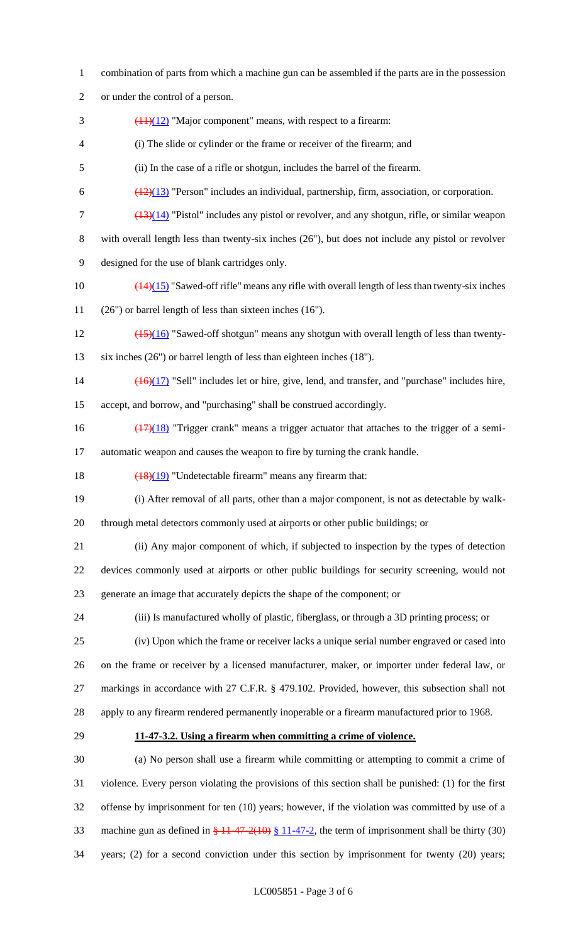combination of parts from which a machine gun can be assembled if the parts are in the possession or under the control of a person.  $\frac{(11)(12)}{2}$  "Major component" means, with respect to a firearm: (i) The slide or cylinder or the frame or receiver of the firearm; and (ii) In the case of a rifle or shotgun, includes the barrel of the firearm.  $\frac{(12)(13)}{2}$  "Person" includes an individual, partnership, firm, association, or corporation. (13)(14) "Pistol" includes any pistol or revolver, and any shotgun, rifle, or similar weapon with overall length less than twenty-six inches (26"), but does not include any pistol or revolver designed for the use of blank cartridges only.  $\left(\frac{(14)(15)}{(14)(15)}\right)$  "Sawed-off rifle" means any rifle with overall length of less than twenty-six inches (26") or barrel length of less than sixteen inches (16").  $\frac{(15)(16)}{12}$  "Sawed-off shotgun" means any shotgun with overall length of less than twenty- six inches (26") or barrel length of less than eighteen inches (18"). (16)(17) "Sell" includes let or hire, give, lend, and transfer, and "purchase" includes hire, accept, and borrow, and "purchasing" shall be construed accordingly. 16 (17)(18) "Trigger crank" means a trigger actuator that attaches to the trigger of a semi- automatic weapon and causes the weapon to fire by turning the crank handle.  $\left(\frac{(18)(19)}{18}\right)$  "Undetectable firearm" means any firearm that: (i) After removal of all parts, other than a major component, is not as detectable by walk- through metal detectors commonly used at airports or other public buildings; or (ii) Any major component of which, if subjected to inspection by the types of detection devices commonly used at airports or other public buildings for security screening, would not generate an image that accurately depicts the shape of the component; or (iii) Is manufactured wholly of plastic, fiberglass, or through a 3D printing process; or (iv) Upon which the frame or receiver lacks a unique serial number engraved or cased into on the frame or receiver by a licensed manufacturer, maker, or importer under federal law, or markings in accordance with 27 C.F.R. § 479.102. Provided, however, this subsection shall not apply to any firearm rendered permanently inoperable or a firearm manufactured prior to 1968. **11-47-3.2. Using a firearm when committing a crime of violence.** (a) No person shall use a firearm while committing or attempting to commit a crime of violence. Every person violating the provisions of this section shall be punished: (1) for the first offense by imprisonment for ten (10) years; however, if the violation was committed by use of a 33 machine gun as defined in  $\frac{21447-2(10)}{211-47-2}$ , the term of imprisonment shall be thirty (30)

years; (2) for a second conviction under this section by imprisonment for twenty (20) years;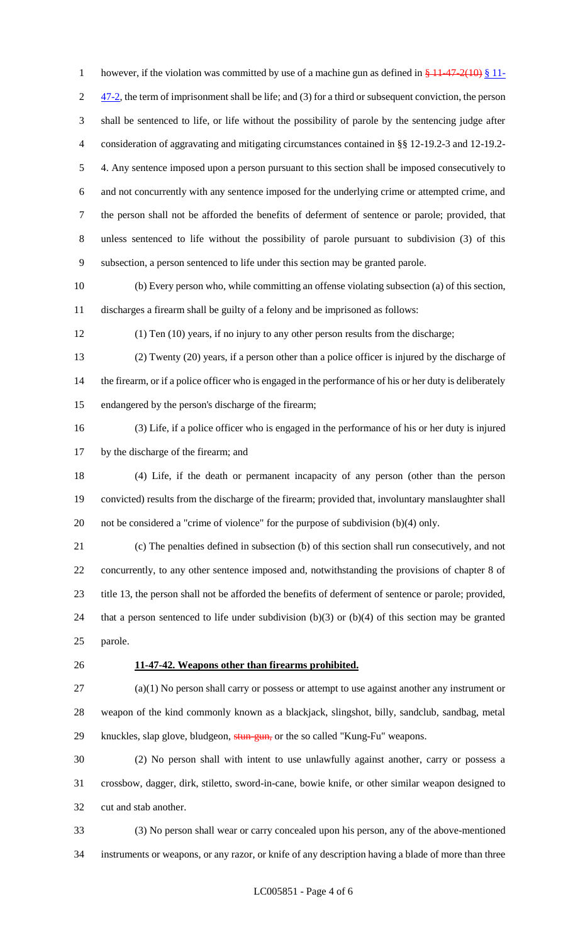1 however, if the violation was committed by use of a machine gun as defined in  $\frac{1}{2}$  11-47-2(10)  $\frac{1}{2}$  11- $2\frac{47-2}{3}$ , the term of imprisonment shall be life; and (3) for a third or subsequent conviction, the person shall be sentenced to life, or life without the possibility of parole by the sentencing judge after consideration of aggravating and mitigating circumstances contained in §§ 12-19.2-3 and 12-19.2- 4. Any sentence imposed upon a person pursuant to this section shall be imposed consecutively to and not concurrently with any sentence imposed for the underlying crime or attempted crime, and the person shall not be afforded the benefits of deferment of sentence or parole; provided, that unless sentenced to life without the possibility of parole pursuant to subdivision (3) of this subsection, a person sentenced to life under this section may be granted parole.

 (b) Every person who, while committing an offense violating subsection (a) of this section, discharges a firearm shall be guilty of a felony and be imprisoned as follows:

(1) Ten (10) years, if no injury to any other person results from the discharge;

 (2) Twenty (20) years, if a person other than a police officer is injured by the discharge of 14 the firearm, or if a police officer who is engaged in the performance of his or her duty is deliberately endangered by the person's discharge of the firearm;

 (3) Life, if a police officer who is engaged in the performance of his or her duty is injured by the discharge of the firearm; and

 (4) Life, if the death or permanent incapacity of any person (other than the person convicted) results from the discharge of the firearm; provided that, involuntary manslaughter shall not be considered a "crime of violence" for the purpose of subdivision (b)(4) only.

 (c) The penalties defined in subsection (b) of this section shall run consecutively, and not concurrently, to any other sentence imposed and, notwithstanding the provisions of chapter 8 of title 13, the person shall not be afforded the benefits of deferment of sentence or parole; provided, that a person sentenced to life under subdivision (b)(3) or (b)(4) of this section may be granted parole.

#### **11-47-42. Weapons other than firearms prohibited.**

 (a)(1) No person shall carry or possess or attempt to use against another any instrument or weapon of the kind commonly known as a blackjack, slingshot, billy, sandclub, sandbag, metal 29 knuckles, slap glove, bludgeon, stun-gun, or the so called "Kung-Fu" weapons.

 (2) No person shall with intent to use unlawfully against another, carry or possess a crossbow, dagger, dirk, stiletto, sword-in-cane, bowie knife, or other similar weapon designed to cut and stab another.

 (3) No person shall wear or carry concealed upon his person, any of the above-mentioned instruments or weapons, or any razor, or knife of any description having a blade of more than three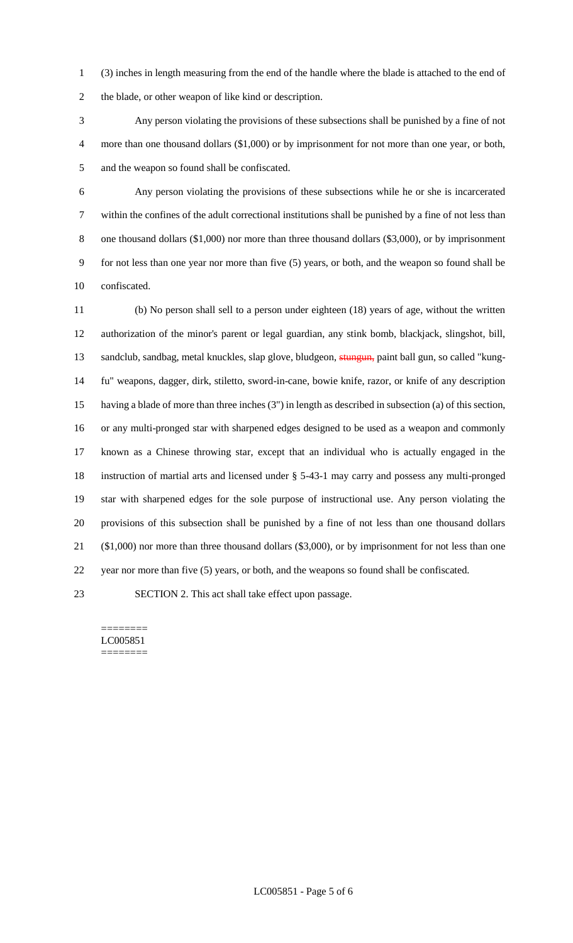(3) inches in length measuring from the end of the handle where the blade is attached to the end of the blade, or other weapon of like kind or description.

 Any person violating the provisions of these subsections shall be punished by a fine of not 4 more than one thousand dollars (\$1,000) or by imprisonment for not more than one year, or both, and the weapon so found shall be confiscated.

 Any person violating the provisions of these subsections while he or she is incarcerated within the confines of the adult correctional institutions shall be punished by a fine of not less than one thousand dollars (\$1,000) nor more than three thousand dollars (\$3,000), or by imprisonment for not less than one year nor more than five (5) years, or both, and the weapon so found shall be confiscated.

 (b) No person shall sell to a person under eighteen (18) years of age, without the written authorization of the minor's parent or legal guardian, any stink bomb, blackjack, slingshot, bill, 13 sandclub, sandbag, metal knuckles, slap glove, bludgeon, stungun, paint ball gun, so called "kung- fu" weapons, dagger, dirk, stiletto, sword-in-cane, bowie knife, razor, or knife of any description having a blade of more than three inches (3") in length as described in subsection (a) of this section, or any multi-pronged star with sharpened edges designed to be used as a weapon and commonly known as a Chinese throwing star, except that an individual who is actually engaged in the instruction of martial arts and licensed under § 5-43-1 may carry and possess any multi-pronged star with sharpened edges for the sole purpose of instructional use. Any person violating the provisions of this subsection shall be punished by a fine of not less than one thousand dollars (\$1,000) nor more than three thousand dollars (\$3,000), or by imprisonment for not less than one year nor more than five (5) years, or both, and the weapons so found shall be confiscated.

SECTION 2. This act shall take effect upon passage.

======== LC005851 ========